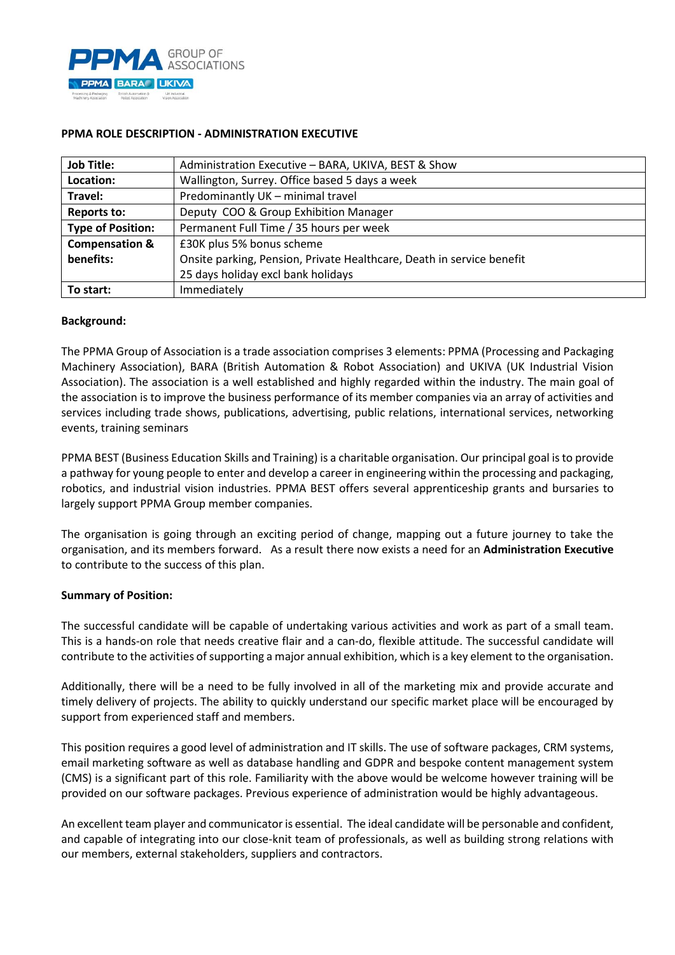

| <b>Job Title:</b>         | Administration Executive - BARA, UKIVA, BEST & Show                   |
|---------------------------|-----------------------------------------------------------------------|
| Location:                 | Wallington, Surrey. Office based 5 days a week                        |
| Travel:                   | Predominantly UK - minimal travel                                     |
| <b>Reports to:</b>        | Deputy COO & Group Exhibition Manager                                 |
| <b>Type of Position:</b>  | Permanent Full Time / 35 hours per week                               |
| <b>Compensation &amp;</b> | £30K plus 5% bonus scheme                                             |
| benefits:                 | Onsite parking, Pension, Private Healthcare, Death in service benefit |
|                           | 25 days holiday excl bank holidays                                    |
| To start:                 | Immediately                                                           |

# **PPMA ROLE DESCRIPTION - ADMINISTRATION EXECUTIVE**

### **Background:**

The PPMA Group of Association is a trade association comprises 3 elements: PPMA (Processing and Packaging Machinery Association), BARA (British Automation & Robot Association) and UKIVA (UK Industrial Vision Association). The association is a well established and highly regarded within the industry. The main goal of the association is to improve the business performance of its member companies via an array of activities and services including trade shows, publications, advertising, public relations, international services, networking events, training seminars

PPMA BEST (Business Education Skills and Training) is a charitable organisation. Our principal goal is to provide a pathway for young people to enter and develop a career in engineering within the processing and packaging, robotics, and industrial vision industries. PPMA BEST offers several apprenticeship grants and bursaries to largely support PPMA Group member companies.

The organisation is going through an exciting period of change, mapping out a future journey to take the organisation, and its members forward. As a result there now exists a need for an **Administration Executive** to contribute to the success of this plan.

### **Summary of Position:**

The successful candidate will be capable of undertaking various activities and work as part of a small team. This is a hands-on role that needs creative flair and a can-do, flexible attitude. The successful candidate will contribute to the activities of supporting a major annual exhibition, which is a key element to the organisation.

Additionally, there will be a need to be fully involved in all of the marketing mix and provide accurate and timely delivery of projects. The ability to quickly understand our specific market place will be encouraged by support from experienced staff and members.

This position requires a good level of administration and IT skills. The use of software packages, CRM systems, email marketing software as well as database handling and GDPR and bespoke content management system (CMS) is a significant part of this role. Familiarity with the above would be welcome however training will be provided on our software packages. Previous experience of administration would be highly advantageous.

An excellent team player and communicator is essential. The ideal candidate will be personable and confident, and capable of integrating into our close-knit team of professionals, as well as building strong relations with our members, external stakeholders, suppliers and contractors.